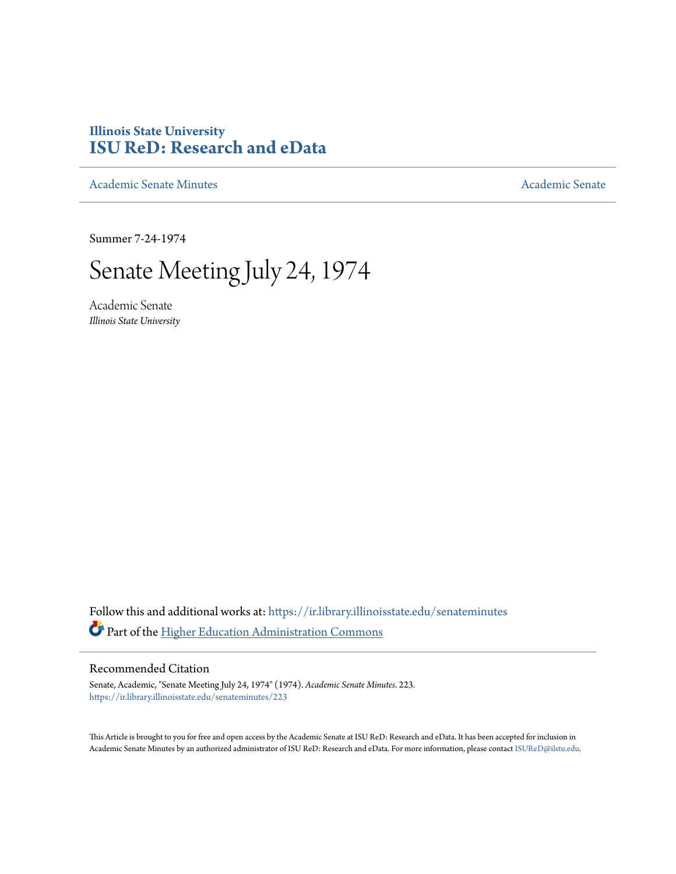## **Illinois State University [ISU ReD: Research and eData](https://ir.library.illinoisstate.edu?utm_source=ir.library.illinoisstate.edu%2Fsenateminutes%2F223&utm_medium=PDF&utm_campaign=PDFCoverPages)**

[Academic Senate Minutes](https://ir.library.illinoisstate.edu/senateminutes?utm_source=ir.library.illinoisstate.edu%2Fsenateminutes%2F223&utm_medium=PDF&utm_campaign=PDFCoverPages) [Academic Senate](https://ir.library.illinoisstate.edu/senate?utm_source=ir.library.illinoisstate.edu%2Fsenateminutes%2F223&utm_medium=PDF&utm_campaign=PDFCoverPages) Academic Senate

Summer 7-24-1974

# Senate Meeting July 24, 1974

Academic Senate *Illinois State University*

Follow this and additional works at: [https://ir.library.illinoisstate.edu/senateminutes](https://ir.library.illinoisstate.edu/senateminutes?utm_source=ir.library.illinoisstate.edu%2Fsenateminutes%2F223&utm_medium=PDF&utm_campaign=PDFCoverPages) Part of the [Higher Education Administration Commons](http://network.bepress.com/hgg/discipline/791?utm_source=ir.library.illinoisstate.edu%2Fsenateminutes%2F223&utm_medium=PDF&utm_campaign=PDFCoverPages)

### Recommended Citation

Senate, Academic, "Senate Meeting July 24, 1974" (1974). *Academic Senate Minutes*. 223. [https://ir.library.illinoisstate.edu/senateminutes/223](https://ir.library.illinoisstate.edu/senateminutes/223?utm_source=ir.library.illinoisstate.edu%2Fsenateminutes%2F223&utm_medium=PDF&utm_campaign=PDFCoverPages)

This Article is brought to you for free and open access by the Academic Senate at ISU ReD: Research and eData. It has been accepted for inclusion in Academic Senate Minutes by an authorized administrator of ISU ReD: Research and eData. For more information, please contact [ISUReD@ilstu.edu.](mailto:ISUReD@ilstu.edu)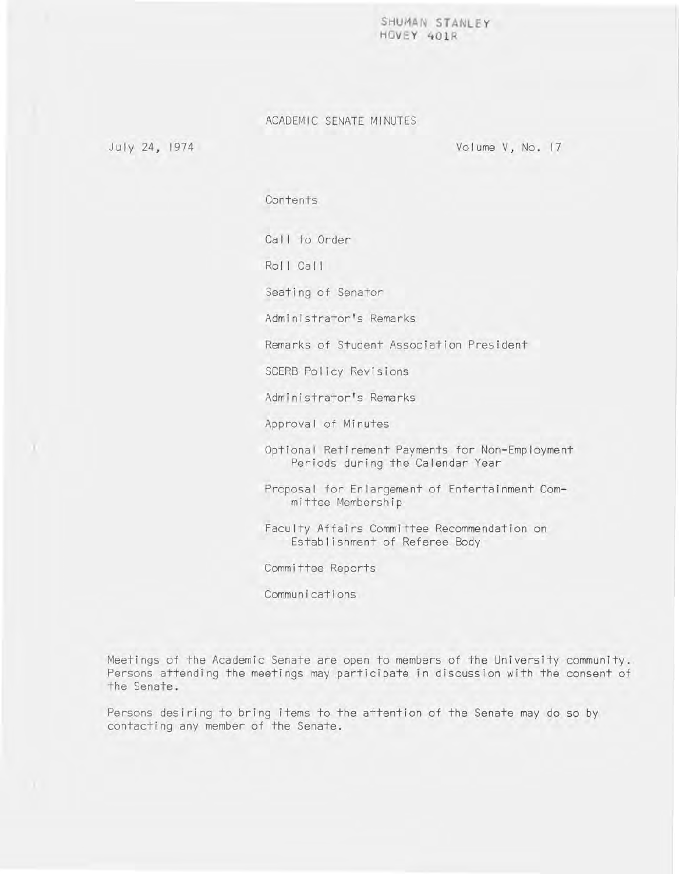SHUMAN STANLEY **HOVE Y 40 1R** 

#### ACADEMIC SENATE MINUTES

July 24, 1974

Volume V, No. 17

Contents

Call to Order

Roll Call

Seating of Senator

Administrator's Remarks

Remarks of Student Association President

SCERB Policy Revisions

Administrator's Remarks

Approval of Minutes

Optional Retirement Payments for Non-Employment Periods during the Calendar Year

Proposal for Enlargement of Entertainment Committee Membership

Faculty Affairs Committee Recommendation on Establishment of Referee Body

Committee Reports

Communications

Meetings of the Academic Senate are open to members of the University community. Persons attending the meetings may participate in discussion with the consent of the Senate.

Persons desiring to bring items to the attention of the Senate may do so by contacting any member of the Senate.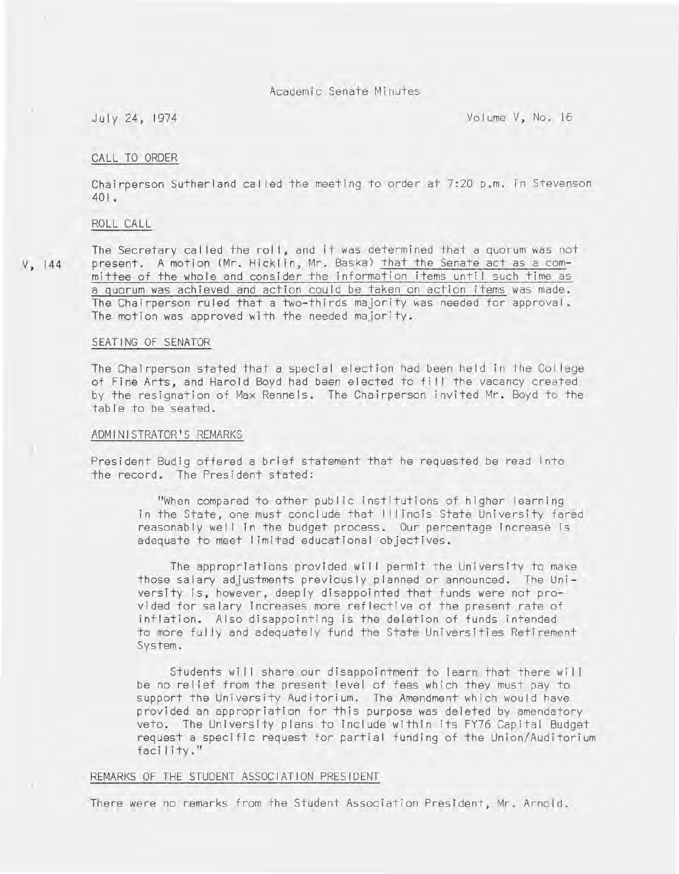Academic Senate Minutes

July 24, 1974 Volume V, No. 16

#### CALL TO ORDER

Chairperson Sutherland called the meeting to order at 7:20 p.m. in Stevenson  $401.$ 

#### ROLL CALL

V, 144

The Secretary cal led the rol **I,** and it was determined that a quorum was not present. A motion (Mr. Hicklin, Mr. Baska) that the Senate act as a committee of the whole and consider the information items until such time as a guorum was achieved and action could be taken on action items was made. The Chairperson ruled that a two-thirds majority was needed for approval. The motion was approved with the needed majority.

#### SEATING OF SENATOR

The Chairperson stated that a special election had been held in the Col lege of Fine Arts, and Harold Boyd had been elected to fill the vacancy created by the resignation of Max Rennels. The Chairperson invited Mr. Boyd to the table to be seated.

#### ADMINISTRATOR'S REMARKS

President Budig offered a brief statement that he requested be read into the record. The President stated:

"When compared to other public institutions of higher learning in the State, one must conclude that I I I inois State University fared reasonably well in the budget process. Our percentage increase is adequate to meet I imited educational objectives.

The appropriations provided will permit the University to make those salary adjustments previously planned or announced. The University is, however, deeply disappointed that funds were not provided for salary increases more reflective of the present rate of inflation. Also disappointing is the deletion of funds intended to more fully and adequately fund the State Universities Retirement System.

Students will share our disappointment to learn that there will be no relief from the present level of fees which they must pay to support the University Auditorium. The Amendment which would have provided an appropriation for this purpose was deleted by amendatory veto. The University plans to include within its FY76 Capital Budget request a specific request for partial funding of the Union/Auditorium facility."

#### REMARKS OF THE STUDENT ASSOCIATION PRESIDENT

There were no remarks from the Student Association President, Mr. Arnold.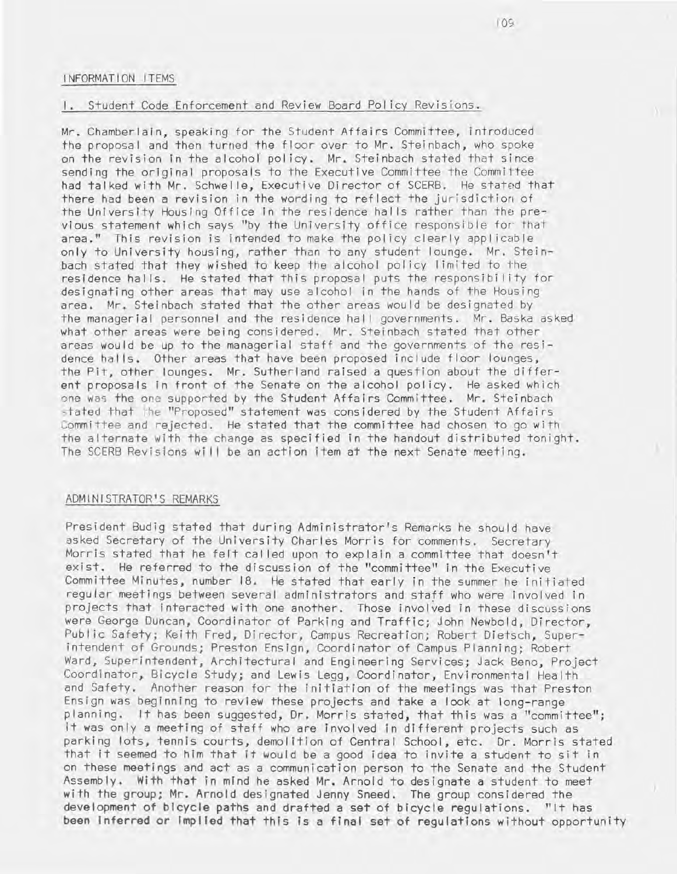#### INFORMATION ITEMS

### I. Student Code Enforcement and Review Board Pol icy Revisions.

Mr. Chamberlain, speaking for the Student Affairs Committee, introduced the proposal and then turned the floor over to Mr. Steinbach, who spoke on the revision In the alcohof pol icy. Mr. Steinbach stated that since sending the original proposals to the Executive Committee the Committee had talked with Mr. Schwel Ie; Executive Director of SCERB. He stated that there had been a revision in the wording to reflect the jurisdiction of the University Housing Office In the residence hal Is rather than the previous statement which says "by the University office responsible for that area." This revision is intended to make the policy clearly applicable only to University housing, rather than to any student lounge. Mr. Steinbach stated that they wished to keep the alcohol pol icy I imited to the residence halls. He stated that this proposal puts the responsibility for designating other areas that may use alcohol in the hands of the Housing area. Mr. Steinbach stated that the other areas would be designated by the managerial personnel and the residence hal I governments. Mr. Baska asked what other areas were being considered. Mr. Steinbach stated that other areas would be up to the managerial staff and the governments of the residence halls. Other areas that have been proposed include floor lounges, the Pit, other lounges. Mr. Sutherland raised a question about the different proposals In front of the Senate on the alcohol policy. He asked which one was the one supported by the Student Affairs Committee. Mr. Steinbach stated that the "Proposed" statement was considered by the Student Affairs Committee and rejected. He stated that the committee had chosen to go with the alternate with the change as specified In the handout distributed tonight. The SCERB Revisions will be an action item at the next Senate meeting.

#### ADMINISTRATOR'S REMARKS

President Budig stated that during Administrator's Remarks he should have asked Secretary of the University Charles Morris for comments. Secretary Morris stated that he felt cal led upon to explain a committee that doesn't exist. He referred to the discussion of the "committee" In the Executive Committee Minutes, number 18. He stated that early in the summer he initiated regular meetings between several administrators and staff who were involved in projects that Interacted with one another. Those involved In these discussions were George Duncan, Coordinator of Parking and Traffic; John Newbold, Director, Publ ic Safety; Keith Fred, Director, Campus Recreation; Robert Dietsch, Superintendent of Grounds; Preston Ensign, Coordinator of Campus Planning; Robert Ward, Superintendent, Architectural and Engineering Services; Jack Beno, Project Coordinator, Bicycle Study; and Lewis Legg, Coordinator, Environmental Health and Safety. Another reason for the initiation of the meetings was that Preston Ensign was beginning to review these projects and take a look at long-range planning. It has been suggested, Dr. Morris stated, that this was a "committee"; it was only a meeting of staff who are involved in different projects such as parking lots, tennis courts, demolition of Central School, etc. Dr. Morris stated that it seemed to him that It would be a good idea to Invite a student to sit In on these meetings and act as a communication person to the Senate and the Student Assembly. With that in mind he asked Mr. Arnold to designate a student to meet with the group; Mr. Arnold designated Jenny Sneed. The group considered the development of bicycle paths and drafted a set of bicycle regulations. "It has been Inferred or Implied that this Is a final set of regulations without opportunity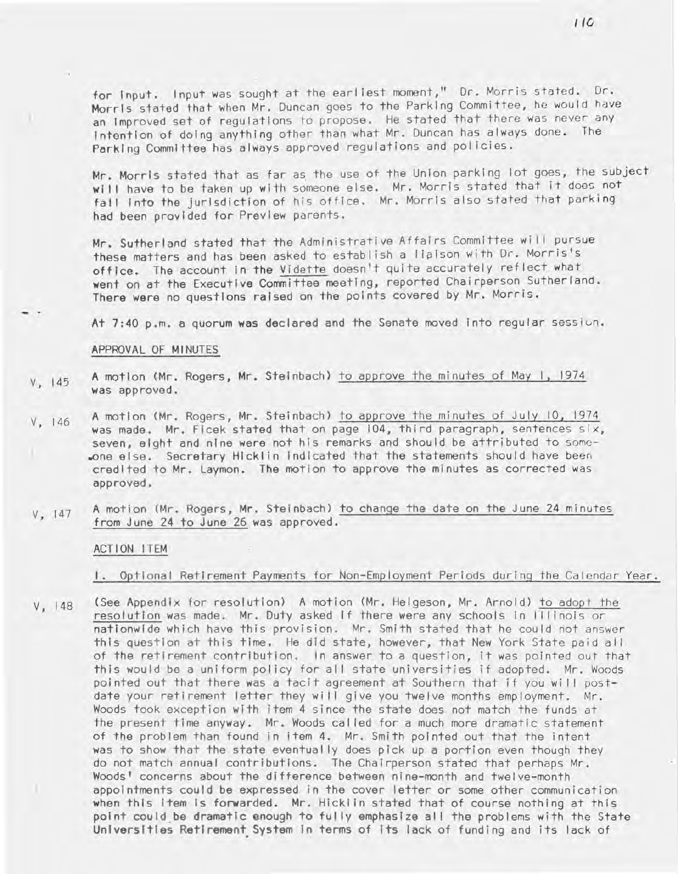for Input. Input was sought at the earliest moment," Dr. Morris stated. Dr. Morris stated that when Mr. Duncan goes to the Parking Committee, he would have an Improved set of regulations to propose. He stated that there was never any Intention of doing anything other than what Mr. Duncan has always done. The Parking Committee has always approved regulations and pol icies.

Mr. Morris stated that as far as the use of the Union parking lot goes, the subject will have to be taken up with someone else. Mr. Morris stated that it does not fall Into the Jurisdiction of his office. Mr. Morris also stated that parking had been provided for Preview parents.

Mr. Sutherland stated that the Administrative Affairs Committee will pursue these matters and has been asked to establish a lialson with Dr. Morris's office. The account In the Vidette doesn't quite accurately reflect what went on at the Executive Committee meeting, reported Chairperson Sutherland. There were no questions raised on the points covered by Mr. Morris.

At 7:40 p.m. a quorum was declared and the Senate moved into regular session.

#### APPROVAL OF MINUTES

- V, 145 A motion (Mr. Rogers, Mr. Steinbach) to approve the minutes of May I, 1974 was approved .
- V, 146 A motion (Mr. Rogers, Mr. Steinbach) to approve the minutes of July 10, 1974 was made. Mr. Ficek stated that on page 104, third paragraph, sentences six, seven, eight and nine were not his remarks and should be attributed to somc- .one else. Secretary Hicklin Indicated that the statements should have been credited to Mr. Laymon. The motion to approve the minutes as corrected was approved.
- V, 147 A motion (Mr. Rogers, Mr. Steinbach) to change the date on the June 24 minutes from June 24 to June 26 was approved.

#### ACTION ITEM

I. Optional Retirement Payments for Non-Employment Periods during the Calendar Year .

V, 148 (See Appendix for resolution) A motion (Mr. Helgeson, Mr. Arnold) to adopt the resolution was made. Mr. Duty asked if there were any schools in Illinois or nationwide which have this provision. Mr. Smith stated that he could not answer this question at this time. He did state, however, that New York State paid all of the retirement contribution. In answer to a question, it was pointed out that this would be a uniform policy for all state universities if adopted. Mr. Woods pointed out that there was a tacit agreement at Southern that if you will postdate your retirement letter they will give you twelve months employment. Mr. Woods took exception with item 4 since the state does not match the funds at the present time anyway. Mr. Woods cal led for a much more dramatic statement of the problem than found in item 4. Mr. Smith pointed out that the intent was to show that the state eventually does pick up a portion even though they do not match annual contributions. The Chairperson stated that perhaps Mr. Woods' concerns about the difference between nine-month and twelve-month appointments could be expressed in the cover letter or some other communication when this Item Is forwarded. Mr. Hickl In stated that of course nothing at this point could be dramatic enough to fully emphasize all the problems with the State Universities Retirement System in terms of its lack of funding and its lack of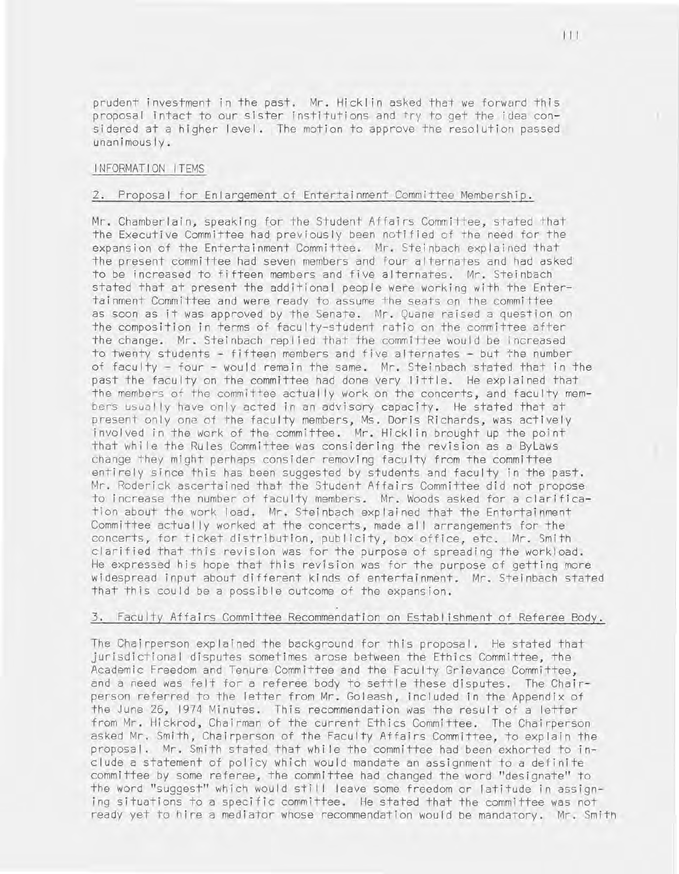prudent investment in the past. Mr. Hickl in asked that we forward this proposal intact to our sister institutions and try to get the idea considered at a higher level. The motion to approve the resolution passed unanimously.

#### INFORMATION ITEMS

#### 2. Proposal for Enlargement of Entertainment Committee Membership.

Mr. Chamberlain, speaking for the Student Affairs Committee, stated that the Executive Committee had previously been notified of the need for the expansion of the Entertainment Committee. Mr. Steinbach explained that the present committee had seven members and four alternates and had asked to be increased to fifteen members and five alternates. Mr. Steinbach stated that at present the additional people were working with the Entertainment Committee and were ready to assume the seats on the committee as soon as it was approved by the Senate. Mr . Quane raised a question on the composition in terms of faculty-student ratio on the committee after the change. Mr. Steinbach repl ied that the committee would be increased to twenty students - fifteen members and five alternates - but the number of faculty - four - would remain the same. Mr. Steinbach stated that in the past the faculty on the committee had done very little. He explained that the members of the committee actually work on the concerts, and faculty members usually have only acted in an advisory capacity. He stated that at present only one of the faculty members, Ms. Doris Richards, was actively involved in the work of the committee. Mr. Hicklin brought up the point that whi Ie the Rules Committee was considering the revision as a ByLaws change they might perhaps consider removing faculty from the committee entirely since this has been suggested by students and faculty in the past. Mr. Roderick ascertained that the Student Affairs Committee did not propose to increase the number of faculty members. Mr. Woods asked for a c larification about the work load. Mr. Steinbach explained that the Entertainment Committee actually worked at the concerts, made all arrangements for the concerts, for ticket distribution, publ icity, box office, etc. Mr . Smith clarified that this revision was for the purpose of spreading the workload. He expressed his hope that this revision was for the purpose of getting more widespread input about different kinds of entertainment. Mr. Steinbach stated that this could be a possible outcome of the expansion.

#### 3. Faculty Affairs Committee Recommendation on Establ ishment of Referee Body.

The Chairperson explained the background for this proposal. He stated that jurisdictional disputes sometimes arose between the Ethics Committee, the Academic Freedom and Tenure Committee and the Faculty Grievance Committee, and a need was felt for a referee body to settle these disputes. The Chairperson referred to the letter from Mr. Goleash, included in the Appendix of the June 26, 1974 Minutes. This recommendation was the result of a letter from Mr. Hickrod, Chairman of the current Ethics Committee. The Chairperson asked Mr. Smith, Chairperson of the Faculty Affairs Committee, to explain the proposal. Mr. Smith stated that whi Ie the committee had been exhorted to include a statement of policy which would mandate an assignment to a definite committee by some referee, the committee had changed the word "designate" to the word "suggest" which would still leave some freedom or latitude in assigning situations to a specific committee. He stated that the committee was not ready yet to hire a mediator whose recommendation would be mandatory. Mr. Smith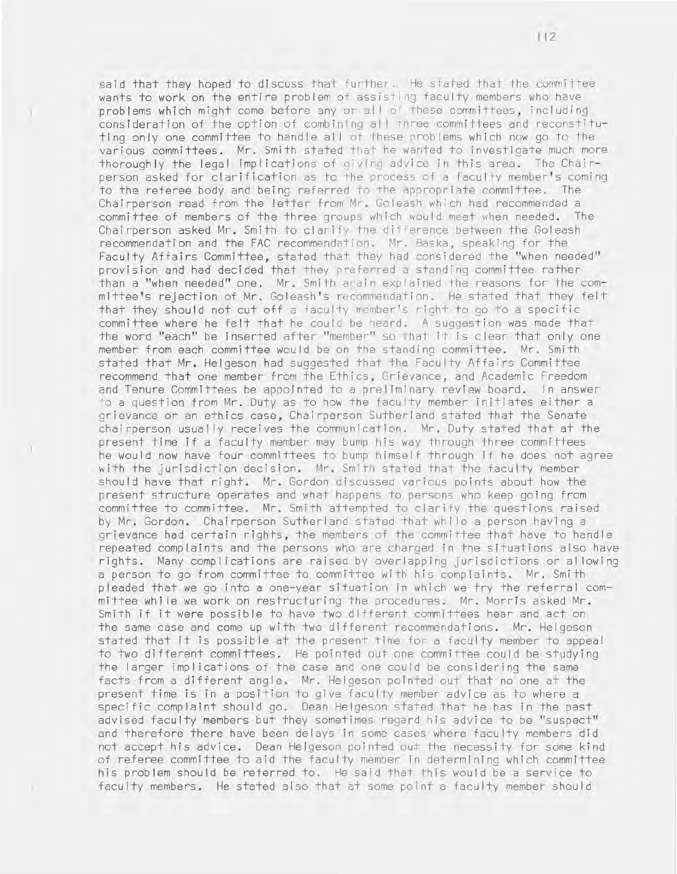said that they hoped to discuss that further. He stated that the committee wants to work on the entire problem of assisting faculty members who have problems which might come before any or all of these committees, including consideration of the option of combining al I three committees and reconstituting only one committee to handle al I of these problems which now go to the various committees. Mr. Smith stated that he wanted to investigate much more thoroughly the legal implications of giving advice in this area. The Chairperson asked for clarification as to the process of a faculty member's coming to the referee body and being referred to the appropriate committee. The Chairperson read from the letter from Mr. Goleash which had recommended a committee of members of the three groups which would meet when needed. The Chairperson asked Mr. Smith to clarify the difference between the Goleash recommendation and the FAC recommendation. Mr. Baska, speaking for the Faculty Affairs Committee, stated that they had considered the "when needed" provision and had decided that they preferred a standing committee rather than a "when needed" one. Mr. Smith again explained the reasons for the committee's rejection of Mr. Goleash's recomme ndation. He stated that they felt that they should not cut off a faculty member's right to go to a specific committee where he felt that he could be heard. A suggestion was made that the word "each" be inserted after "member" so that it is clear that only one member from each committee would be on the standing committee. Mr. Smith stated that Mr. Helgeson had suggested that the Faculty Affairs Committee recommend that one member from the Ethics, Grievance, and Academic Freedom and Tenure Committees be appointed to a preliminary review board. In answer <sup>o</sup>a quest ion from Mr. Duty as to how the faculty member initiates either a grievance or an ethics case, Chairperson Sutherland stated that the Senate chairperson usually receives the communication. Mr. Duty stated that at the present time if a faculty member may bump his way through three committees he would now have four committees to bump himself through if he does not agree with the jurisdiction decision. Mr. Smith stated that the faculty member should have that right. Mr. Gordon discussed various points about how the present structure operates and what happens to persons who keep going from committee to committee. Mr. Smith attempted to clarify the questions raised by Mr. Gordon, Chairperson Sutherland stated that while a person having a grievance had certain rights, the members of the committee that have to handle repeated complaints and the persons who are charged in the situations also have rights. Many compl ications are raised by overlapping jurisdictions or allowing a person to go from committee to committee with his complaints. Mr. Smith pleaded that we go into a one-year situation in which we try the referral committee whi Ie we work on restructuring the procedures. Mr. Morris asked Mr. Smith if it were possible to have two different committees hear and act on the same case and come up with two different recommendations. Mr . Helgeson stated that it is possible at the present time for a faculty member to appeal to two different committees. He pointed out one committee could be studying the larger implications of the case and one could be considering the same facts from a different angle. Mr. Helgeson pointed out that no one at the present time is **in** a position to give faculty member advice as to where a specific complaint should go. Dean Helgeson stated that he has in the past advised faculty members but they sometimes regard his advice to be "suspect" and therefore there have been delays in some cases where faculty members did not accept his advice. Dean Helgeson pointed out the necessity for some kind of referee committee to aid the faculty member in determining which committee his problem should be referred to. He said that this would be a service to faculty members. He stated also that at some point a faculty member should

112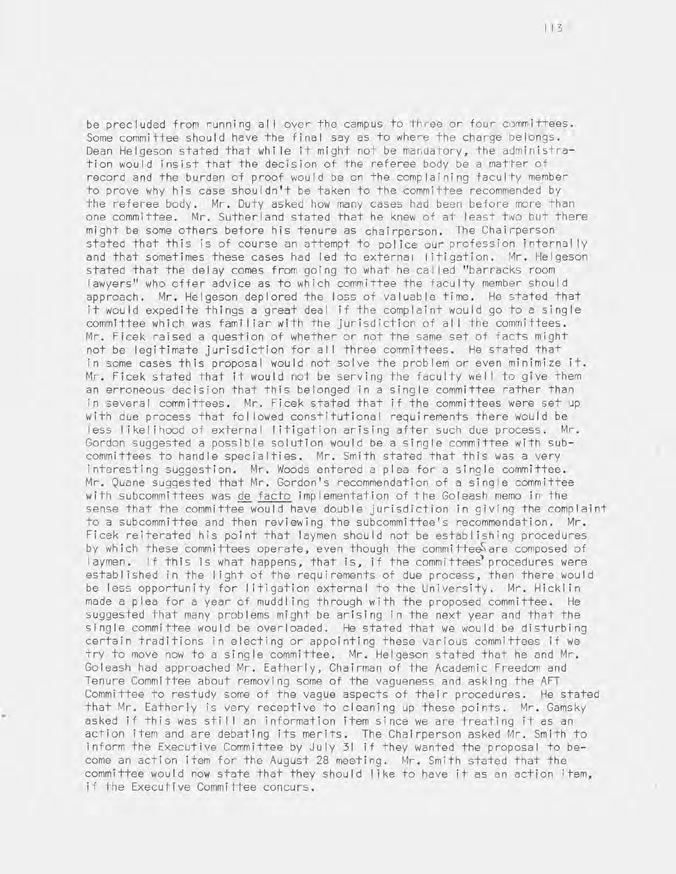be precluded from running all over the campus to three or four committees. Some committee should have the final say as to where the charge belongs. Dean Helgeson stated that while it might not be mandatory, the administration would insist that the decision of the referee body be a matter of record and the burden of proof would be on the complaining faculty member to prove why his case shouldn't be taken to the committee recommended by the referee body. Mr. Duty asked how many cases had been before more than one committee. Mr. Sutherland stated that he knew of at least two but there might be some others before his tenure as chairperson. The Chairperson stated that this is of course an attempt to police our profession internally and that sometimes these cases had led to external litigation. Mr. Helgeson stated that the delay comes from going to what he cal led "barracks room lawyers" who offer advice as to which committee the faculty member should approach. Mr. Helgeson deplored the loss of valuable time. He stated that it would expedite things a great deal if the complaint would go to a single committee which was familiar with the jurisdiction of all the committees. Mr. Ficek raised a question of whether or not the same set of facts might not be legitimate jurisdiction for all three committees. He stated that in some cases this proposal would not solve the problem or even minimize it. Mr. Ficek stated that it would not be serving the faculty well to give them an erroneous decision that this belonged in a single committee rather than in several committees. Mr. Ficek stated that if the committees were set up with due process that fol lowed constitutional requirements there would be less I ikel ihood of external I itigation arising after such due process. Mr. Gordon suggested a possible solution would be a single committee with subcommittees to handle specialties. Mr. Smith stated that this was a very interesting suggestion. Mr. Woods entered a plea for a single committee. Mr. Quane suggested that Mr. Gordon's recommendation of a single committee with subcommittees was de facto implementation of the Goleash memo in the sense that the committee would have double jurisdiction in giving the complaint to a subcommittee and then reviewing the subcommittee's recommendation. Mr . Ficek reiterated his point that laymen should not be establishing procedures by which these committees operate, even though the committees are composed of laymen. If this is what happens, that is, if the committees procedures were establ ished in the I ight of the requirements of due process, then there would be less opportunity for litigation external to the University. Mr. Hicklin made a plea for a year of muddling through with the proposed committee. He suggested that many problems might be arising in the next year and that the single committee would be overloaded. He stated that we would be disturbing certain traditions in electing or appointing these various committees if we try to move now to a single committee. Mr. Helgeson stated that he and Mr. Goleash had approached Mr. Eatherly, Chairman of the Academic Freedom and Tenure Committee about removing some of the vagueness and asking the AFT Committee to restudy some of the vague aspects of their procedures. He stated that Mr. Eatherly is very receptive to cleaning up these points. Mr. Gamsky asked if this was still an information item since we are treating it as an action item and are debating its merits. The Chairperson asked Mr. Smith to inform the Executive Committee by July 31 if they wanted the proposal to become an action item for the August 28 meeting. Mr. Smith stated that the committee would now state that they should like to have it as an action item, if the Executive Committee concurs.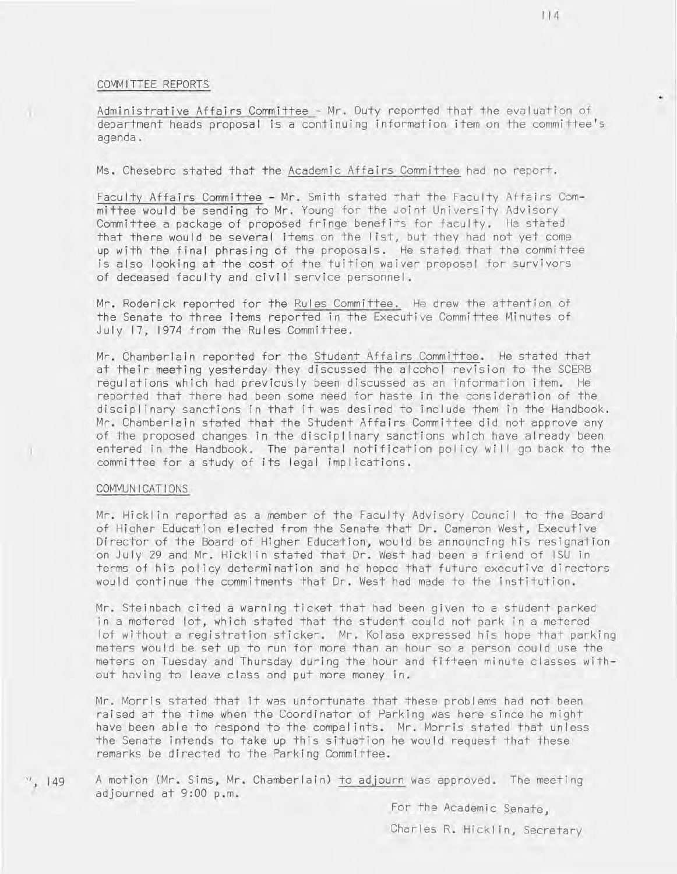#### COMMITTEE REPORTS

Administrative Affairs Committee - Mr. Duty reported that the evaluation of department heads proposal is a continuing information item on the committee's agenda.

Ms. Chesebro stated that the Academic Affairs Committee had no report.

Faculty Affairs Committee - Mr. Smith stated that the Faculty Affairs Committee would be sending to Mr. Young for the Joint University Advisory Committee a package of proposed fringe benefits for faculty. He stated that there would be several items on the I ist, but they had not yet come up with the final phrasing of the proposals. He stated that the committee is also looking at the cost of the tuition waiver proposal for survivors of deceased faculty and civil service personnel.

Mr. Roderick reported for the Rules Committee. He drew the attention of the Senate to three items reported in the Executive Committee Minutes of July 17, 1974 from the Rules Committee.

Mr. Chamberlain reported for the Student Affairs Committee. He stated that at their meeting yesterday they discussed the alcohol revision to the SCERB regulations which had previously been discussed as an information item. He reported that there had been some need for haste in the consideration of the discipl inary sanctions in that it was desired to include them in the Handbook. Mr. Chamberlain stated that the Student Affairs Committee did not approve any of the proposed changes in the disciplinary sanctions which have already been entered in the Handbook. The parental notification policy will go back to the committee for a study of its legal impl ications.

#### COMMUNICATIONS

)

a.

Mr. Hicklin reported as a member of the Faculty Advisory Council to the Board of Higher Education elected from the Senate that Dr. Cameron West, Executive Director of the Board of Higher Education, would be announcing his resignation on July 29 and Mr. Hickl in stated that Dr. West had been a friend of ISU in terms of his policy determination and he hoped that future executive directors would continue the commitments that Dr. West had made to the institution.

Mr. Steinbach cited a warning ticket that had been given to a student parked in a metered lot, which stated that the student could not park in a metered lot without a registration sticker. Mr. Kolasa expressed his hope that parking meters would be set up to run for more than an hour so a person could use the meters on Tuesday and Thursday during the hour and fif+een minute classes without having to leave class and put more money in.

Mr. Morris stated that it was unfortunate that these problems had not been raised at the time when the Coordinator of Parking was here since he might have been able to respond to the compalints. Mr. Morris stated that unless the Senate intends to take up this situation he would request that these remarks be directed to the Parking Committee.

 $149$ A motion (Mr. Sims, Mr. Chamberlain) to ad,journ was approved. The meeting adjourned at 9:00 p.m.

For the Academic Senate,

Charles R. Hickl in, Secretary